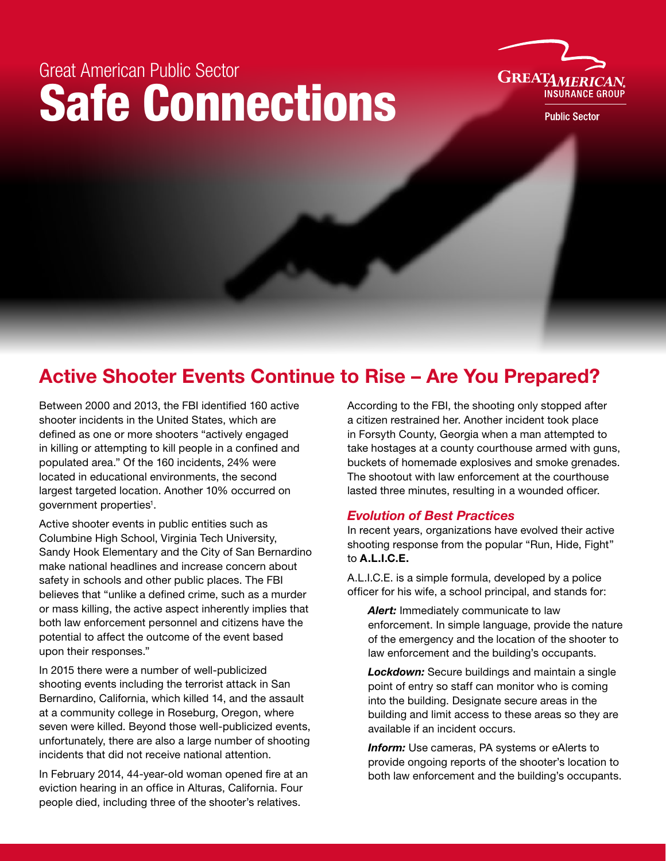# Great American Public Sector Safe Connections



**Public Sector** 

## Active Shooter Events Continue to Rise – Are You Prepared?

Between 2000 and 2013, the FBI identified 160 active shooter incidents in the United States, which are defined as one or more shooters "actively engaged in killing or attempting to kill people in a confined and populated area." Of the 160 incidents, 24% were located in educational environments, the second largest targeted location. Another 10% occurred on government properties<sup>1</sup>.

Active shooter events in public entities such as Columbine High School, Virginia Tech University, Sandy Hook Elementary and the City of San Bernardino make national headlines and increase concern about safety in schools and other public places. The FBI believes that "unlike a defined crime, such as a murder or mass killing, the active aspect inherently implies that both law enforcement personnel and citizens have the potential to affect the outcome of the event based upon their responses."

In 2015 there were a number of well-publicized shooting events including the terrorist attack in San Bernardino, California, which killed 14, and the assault at a community college in Roseburg, Oregon, where seven were killed. Beyond those well-publicized events, unfortunately, there are also a large number of shooting incidents that did not receive national attention.

In February 2014, 44-year-old woman opened fire at an eviction hearing in an office in Alturas, California. Four people died, including three of the shooter's relatives.

According to the FBI, the shooting only stopped after a citizen restrained her. Another incident took place in Forsyth County, Georgia when a man attempted to take hostages at a county courthouse armed with guns, buckets of homemade explosives and smoke grenades. The shootout with law enforcement at the courthouse lasted three minutes, resulting in a wounded officer.

### *Evolution of Best Practices*

In recent years, organizations have evolved their active shooting response from the popular "Run, Hide, Fight" to A.L.I.C.E.

A.L.I.C.E. is a simple formula, developed by a police officer for his wife, a school principal, and stands for:

*Alert:* Immediately communicate to law enforcement. In simple language, provide the nature of the emergency and the location of the shooter to law enforcement and the building's occupants.

*Lockdown:* Secure buildings and maintain a single point of entry so staff can monitor who is coming into the building. Designate secure areas in the building and limit access to these areas so they are available if an incident occurs.

*Inform:* Use cameras, PA systems or eAlerts to provide ongoing reports of the shooter's location to both law enforcement and the building's occupants.